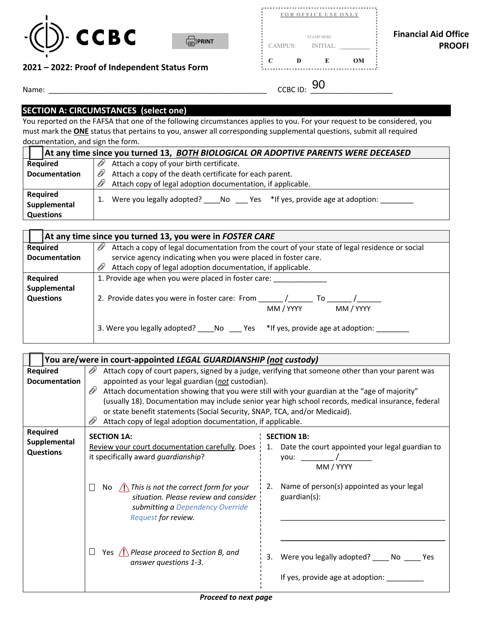



| CCBC -<br>- 1<br><b>FIPRINT</b>               | <b>STAMP HERE</b><br><b>INITIAL:</b><br><b>CAMPUS:</b> | <b>Financial Aid Office</b><br><b>PROOFI</b> |
|-----------------------------------------------|--------------------------------------------------------|----------------------------------------------|
| 2021 – 2022: Proof of Independent Status Form | <b>OM</b><br>D                                         |                                              |
| Name:                                         | 90.<br><b>CCBC ID:</b>                                 |                                              |

..........................................

## **2021 – 2022: Proof of Independent Status Form**

## **SECTION A: CIRCUMSTANCES (select one)**

 must mark the **ONE** status that pertains to you, answer all corresponding supplemental questions, submit all required documentation, and sign the form. You reported on the FAFSA that one of the following circumstances applies to you. For your request to be considered, you

|                      | At any time since you turned 13, BOTH BIOLOGICAL OR ADOPTIVE PARENTS WERE DECEASED |
|----------------------|------------------------------------------------------------------------------------|
| <b>Required</b>      | Attach a copy of your birth certificate.<br>D1                                     |
| <b>Documentation</b> | Attach a copy of the death certificate for each parent.<br>D                       |
|                      | Attach copy of legal adoption documentation, if applicable.                        |
| Required             | Were you legally adopted? No Yes *If yes, provide age at adoption:                 |
| Supplemental         |                                                                                    |
| <b>Questions</b>     |                                                                                    |

|                      | At any time since you turned 13, you were in FOSTER CARE                                              |  |
|----------------------|-------------------------------------------------------------------------------------------------------|--|
| <b>Required</b>      | OP)<br>Attach a copy of legal documentation from the court of your state of legal residence or social |  |
| <b>Documentation</b> | service agency indicating when you were placed in foster care.                                        |  |
|                      | Ø)<br>Attach copy of legal adoption documentation, if applicable.                                     |  |
| Required             | 1. Provide age when you were placed in foster care:                                                   |  |
| Supplemental         |                                                                                                       |  |
| <b>Questions</b>     | 2. Provide dates you were in foster care: From<br>To:                                                 |  |
|                      | MM / YYYY<br>MM / YYYY                                                                                |  |
|                      | 3. Were you legally adopted? _____ No _____ Yes *if yes, provide age at adoption:                     |  |

|                                                     | You are/were in court-appointed LEGAL GUARDIANSHIP (not custody)                                                                                                                                                                                                                                                                                                                                                                                                                                                             |                                                                                                                                                          |
|-----------------------------------------------------|------------------------------------------------------------------------------------------------------------------------------------------------------------------------------------------------------------------------------------------------------------------------------------------------------------------------------------------------------------------------------------------------------------------------------------------------------------------------------------------------------------------------------|----------------------------------------------------------------------------------------------------------------------------------------------------------|
| Required<br>Documentation                           | Attach copy of court papers, signed by a judge, verifying that someone other than your parent was<br>D1<br>appointed as your legal guardian (not custodian).<br>D)<br>Attach documentation showing that you were still with your guardian at the "age of majority"<br>(usually 18). Documentation may include senior year high school records, medical insurance, federal<br>or state benefit statements (Social Security, SNAP, TCA, and/or Medicaid).<br>Attach copy of legal adoption documentation, if applicable.<br>Ø1 |                                                                                                                                                          |
| <b>Required</b><br>Supplemental<br><b>Questions</b> | <b>SECTION 1A:</b><br>Review your court documentation carefully. Does<br>it specifically award guardianship?<br>$\bigcap$ This is not the correct form for your<br>No.<br>situation. Please review and consider<br>submitting a Dependency Override<br>Request for review.                                                                                                                                                                                                                                                   | <b>SECTION 1B:</b><br>1. Date the court appointed your legal guardian to<br>MM / YYYY<br>Name of person(s) appointed as your legal<br>2.<br>guardian(s): |
|                                                     | Yes $\bigwedge$ Please proceed to Section B, and<br>answer questions 1-3.                                                                                                                                                                                                                                                                                                                                                                                                                                                    | Were you legally adopted? No No Nes<br>3.<br>If yes, provide age at adoption: ______                                                                     |